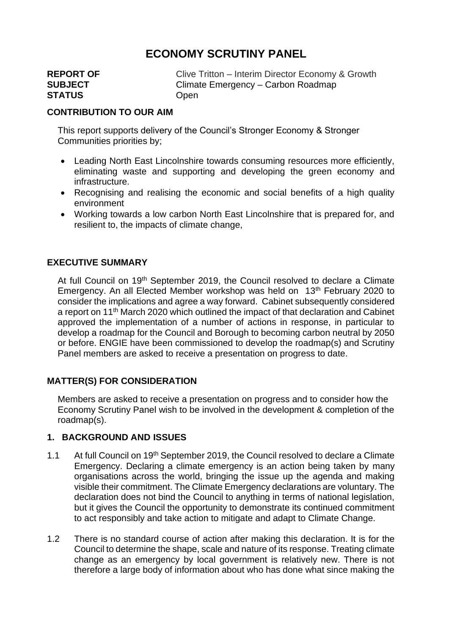# **ECONOMY SCRUTINY PANEL**

| <b>REPORT OF</b> | Clive Tritton - Interim Director Economy & Growth |
|------------------|---------------------------------------------------|
| <b>SUBJECT</b>   | Climate Emergency – Carbon Roadmap                |
| <b>STATUS</b>    | Open                                              |
|                  |                                                   |

#### **CONTRIBUTION TO OUR AIM**

This report supports delivery of the Council's Stronger Economy & Stronger Communities priorities by;

- Leading North East Lincolnshire towards consuming resources more efficiently, eliminating waste and supporting and developing the green economy and infrastructure.
- Recognising and realising the economic and social benefits of a high quality environment
- Working towards a low carbon North East Lincolnshire that is prepared for, and resilient to, the impacts of climate change,

#### **EXECUTIVE SUMMARY**

At full Council on 19<sup>th</sup> September 2019, the Council resolved to declare a Climate Emergency. An all Elected Member workshop was held on 13<sup>th</sup> February 2020 to consider the implications and agree a way forward. Cabinet subsequently considered a report on 11th March 2020 which outlined the impact of that declaration and Cabinet approved the implementation of a number of actions in response, in particular to develop a roadmap for the Council and Borough to becoming carbon neutral by 2050 or before. ENGIE have been commissioned to develop the roadmap(s) and Scrutiny Panel members are asked to receive a presentation on progress to date.

#### **MATTER(S) FOR CONSIDERATION**

Members are asked to receive a presentation on progress and to consider how the Economy Scrutiny Panel wish to be involved in the development & completion of the roadmap(s).

#### **1. BACKGROUND AND ISSUES**

- 1.1 At full Council on 19<sup>th</sup> September 2019, the Council resolved to declare a Climate Emergency. Declaring a climate emergency is an action being taken by many organisations across the world, bringing the issue up the agenda and making visible their commitment. The Climate Emergency declarations are voluntary. The declaration does not bind the Council to anything in terms of national legislation, but it gives the Council the opportunity to demonstrate its continued commitment to act responsibly and take action to mitigate and adapt to Climate Change.
- 1.2 There is no standard course of action after making this declaration. It is for the Council to determine the shape, scale and nature of its response. Treating climate change as an emergency by local government is relatively new. There is not therefore a large body of information about who has done what since making the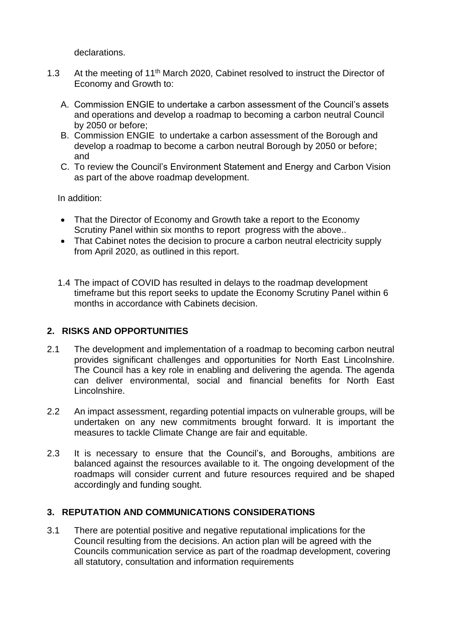declarations.

- 1.3 At the meeting of 11<sup>th</sup> March 2020, Cabinet resolved to instruct the Director of Economy and Growth to:
	- A. Commission ENGIE to undertake a carbon assessment of the Council's assets and operations and develop a roadmap to becoming a carbon neutral Council by 2050 or before;
	- B. Commission ENGIE to undertake a carbon assessment of the Borough and develop a roadmap to become a carbon neutral Borough by 2050 or before; and
	- C. To review the Council's Environment Statement and Energy and Carbon Vision as part of the above roadmap development.

In addition:

- That the Director of Economy and Growth take a report to the Economy Scrutiny Panel within six months to report progress with the above..
- That Cabinet notes the decision to procure a carbon neutral electricity supply from April 2020, as outlined in this report.
- 1.4 The impact of COVID has resulted in delays to the roadmap development timeframe but this report seeks to update the Economy Scrutiny Panel within 6 months in accordance with Cabinets decision.

## **2. RISKS AND OPPORTUNITIES**

- 2.1 The development and implementation of a roadmap to becoming carbon neutral provides significant challenges and opportunities for North East Lincolnshire. The Council has a key role in enabling and delivering the agenda. The agenda can deliver environmental, social and financial benefits for North East Lincolnshire.
- 2.2 An impact assessment, regarding potential impacts on vulnerable groups, will be undertaken on any new commitments brought forward. It is important the measures to tackle Climate Change are fair and equitable.
- 2.3 It is necessary to ensure that the Council's, and Boroughs, ambitions are balanced against the resources available to it. The ongoing development of the roadmaps will consider current and future resources required and be shaped accordingly and funding sought.

## **3. REPUTATION AND COMMUNICATIONS CONSIDERATIONS**

3.1 There are potential positive and negative reputational implications for the Council resulting from the decisions. An action plan will be agreed with the Councils communication service as part of the roadmap development, covering all statutory, consultation and information requirements